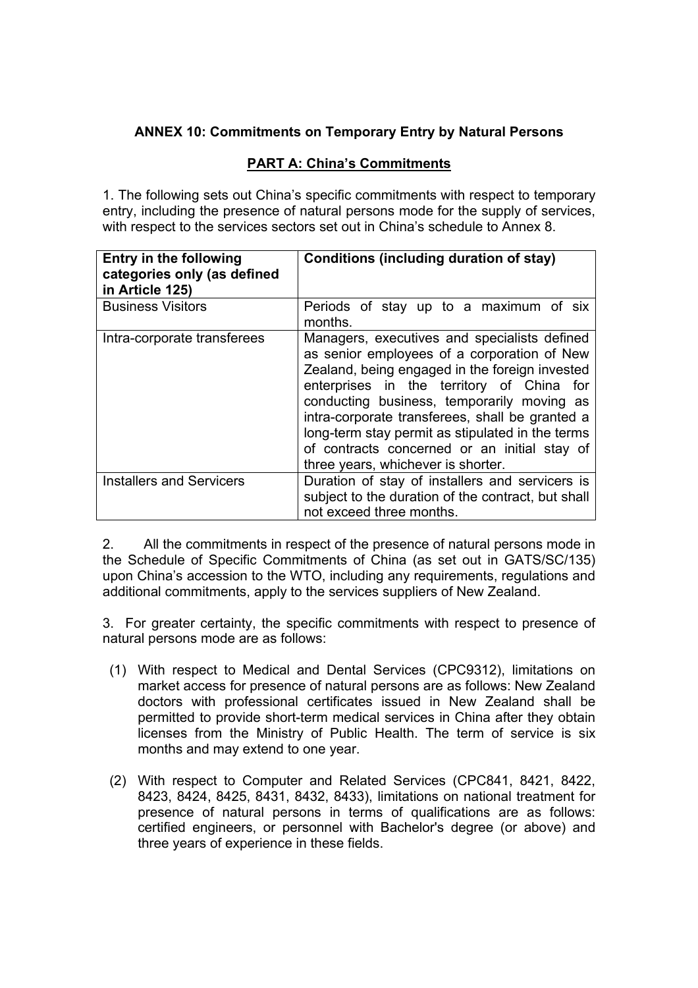## **ANNEX 10: Commitments on Temporary Entry by Natural Persons**

## **PART A: China's Commitments**

1. The following sets out China's specific commitments with respect to temporary entry, including the presence of natural persons mode for the supply of services, with respect to the services sectors set out in China's schedule to Annex 8.

| <b>Entry in the following</b><br>categories only (as defined<br>in Article 125) | Conditions (including duration of stay)                                                                                                                                                                                                                                                                                                                                                                                               |
|---------------------------------------------------------------------------------|---------------------------------------------------------------------------------------------------------------------------------------------------------------------------------------------------------------------------------------------------------------------------------------------------------------------------------------------------------------------------------------------------------------------------------------|
| <b>Business Visitors</b>                                                        | Periods of stay up to a maximum of six<br>months.                                                                                                                                                                                                                                                                                                                                                                                     |
| Intra-corporate transferees                                                     | Managers, executives and specialists defined<br>as senior employees of a corporation of New<br>Zealand, being engaged in the foreign invested<br>enterprises in the territory of China for<br>conducting business, temporarily moving as<br>intra-corporate transferees, shall be granted a<br>long-term stay permit as stipulated in the terms<br>of contracts concerned or an initial stay of<br>three years, whichever is shorter. |
| <b>Installers and Servicers</b>                                                 | Duration of stay of installers and servicers is<br>subject to the duration of the contract, but shall<br>not exceed three months.                                                                                                                                                                                                                                                                                                     |

2. All the commitments in respect of the presence of natural persons mode in the Schedule of Specific Commitments of China (as set out in GATS/SC/135) upon China's accession to the WTO, including any requirements, regulations and additional commitments, apply to the services suppliers of New Zealand.

3. For greater certainty, the specific commitments with respect to presence of natural persons mode are as follows:

- (1) With respect to Medical and Dental Services (CPC9312), limitations on market access for presence of natural persons are as follows: New Zealand doctors with professional certificates issued in New Zealand shall be permitted to provide short-term medical services in China after they obtain licenses from the Ministry of Public Health. The term of service is six months and may extend to one year.
- (2) With respect to Computer and Related Services (CPC841, 8421, 8422, 8423, 8424, 8425, 8431, 8432, 8433), limitations on national treatment for presence of natural persons in terms of qualifications are as follows: certified engineers, or personnel with Bachelor's degree (or above) and three years of experience in these fields.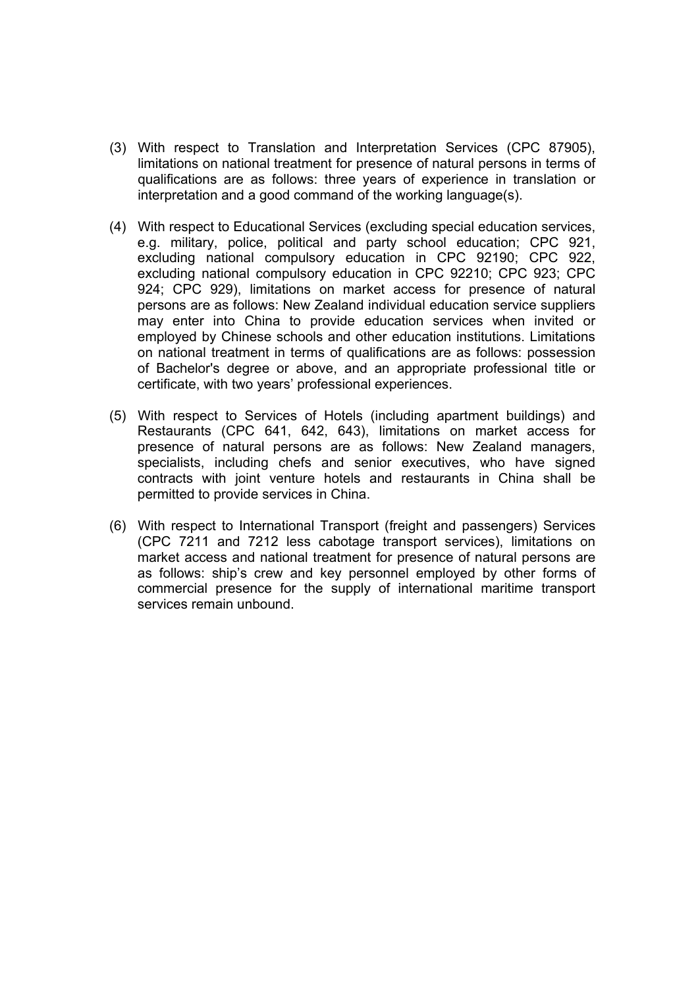- (3) With respect to Translation and Interpretation Services (CPC 87905), limitations on national treatment for presence of natural persons in terms of qualifications are as follows: three years of experience in translation or interpretation and a good command of the working language(s).
- (4) With respect to Educational Services (excluding special education services, e.g. military, police, political and party school education; CPC 921, excluding national compulsory education in CPC 92190; CPC 922, excluding national compulsory education in CPC 92210; CPC 923; CPC 924; CPC 929), limitations on market access for presence of natural persons are as follows: New Zealand individual education service suppliers may enter into China to provide education services when invited or employed by Chinese schools and other education institutions. Limitations on national treatment in terms of qualifications are as follows: possession of Bachelor's degree or above, and an appropriate professional title or certificate, with two years' professional experiences.
- (5) With respect to Services of Hotels (including apartment buildings) and Restaurants (CPC 641, 642, 643), limitations on market access for presence of natural persons are as follows: New Zealand managers, specialists, including chefs and senior executives, who have signed contracts with joint venture hotels and restaurants in China shall be permitted to provide services in China.
- (6) With respect to International Transport (freight and passengers) Services (CPC 7211 and 7212 less cabotage transport services), limitations on market access and national treatment for presence of natural persons are as follows: ship's crew and key personnel employed by other forms of commercial presence for the supply of international maritime transport services remain unbound.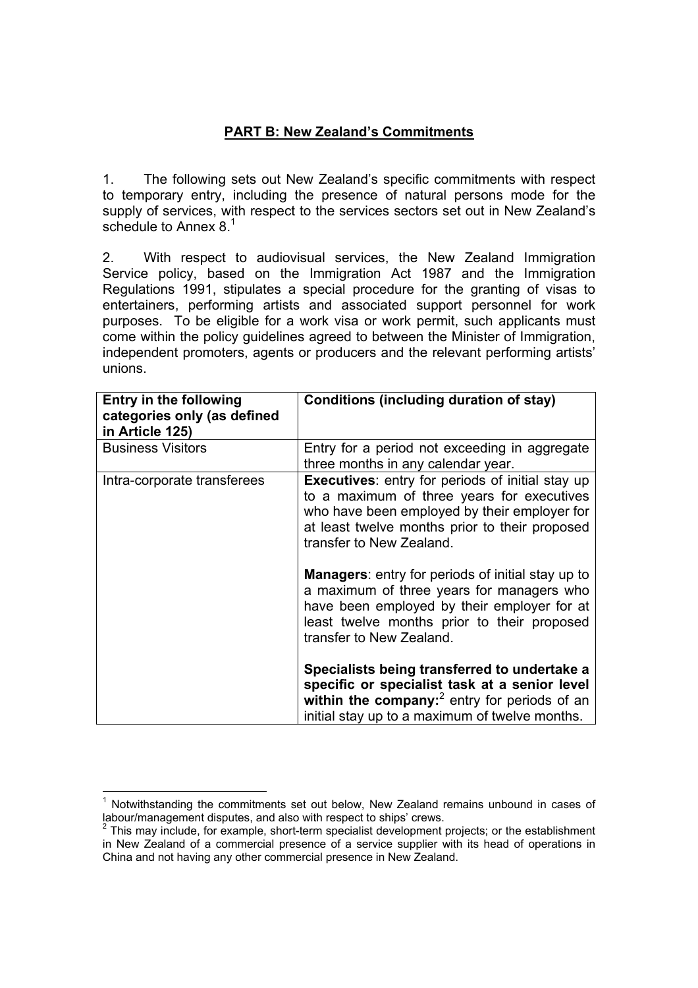## **PART B: New Zealand's Commitments**

1. The following sets out New Zealand's specific commitments with respect to temporary entry, including the presence of natural persons mode for the supply of services, with respect to the services sectors set out in New Zealand's schedule to Annex 8.<sup>1</sup>

2. With respect to audiovisual services, the New Zealand Immigration Service policy, based on the Immigration Act 1987 and the Immigration Regulations 1991, stipulates a special procedure for the granting of visas to entertainers, performing artists and associated support personnel for work purposes. To be eligible for a work visa or work permit, such applicants must come within the policy guidelines agreed to between the Minister of Immigration, independent promoters, agents or producers and the relevant performing artists' unions.

| <b>Entry in the following</b><br>categories only (as defined<br>in Article 125) | Conditions (including duration of stay)                                                                                                                                                                                             |
|---------------------------------------------------------------------------------|-------------------------------------------------------------------------------------------------------------------------------------------------------------------------------------------------------------------------------------|
| <b>Business Visitors</b>                                                        | Entry for a period not exceeding in aggregate<br>three months in any calendar year.                                                                                                                                                 |
| Intra-corporate transferees                                                     | <b>Executives:</b> entry for periods of initial stay up<br>to a maximum of three years for executives<br>who have been employed by their employer for<br>at least twelve months prior to their proposed<br>transfer to New Zealand. |
|                                                                                 | <b>Managers:</b> entry for periods of initial stay up to<br>a maximum of three years for managers who<br>have been employed by their employer for at<br>least twelve months prior to their proposed<br>transfer to New Zealand.     |
|                                                                                 | Specialists being transferred to undertake a<br>specific or specialist task at a senior level<br>within the company: $^2$ entry for periods of an<br>initial stay up to a maximum of twelve months.                                 |

 <sup>1</sup> Notwithstanding the commitments set out below, New Zealand remains unbound in cases of labour/management disputes, and also with respect to ships' crews.

 $2$  This may include, for example, short-term specialist development projects; or the establishment in New Zealand of a commercial presence of a service supplier with its head of operations in China and not having any other commercial presence in New Zealand.